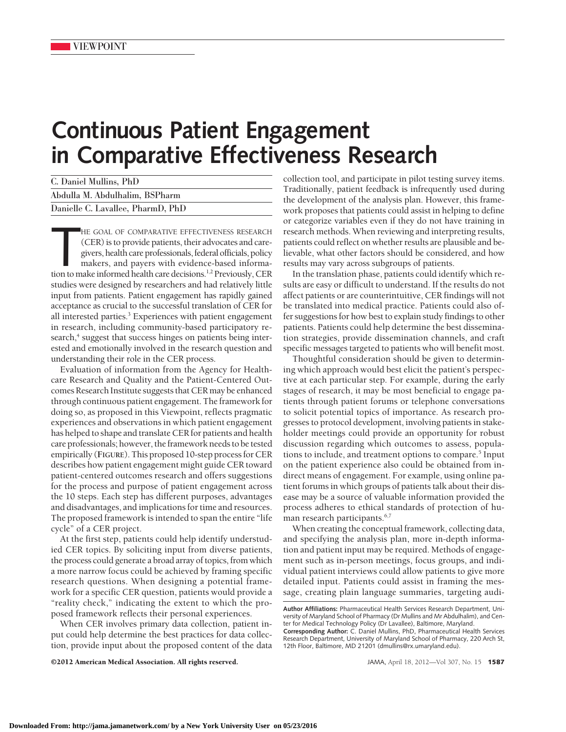## **Continuous Patient Engagement in Comparative Effectiveness Research**

| C. Daniel Mullins, PhD            |  |
|-----------------------------------|--|
| Abdulla M. Abdulhalim, BSPharm    |  |
| Danielle C. Lavallee, PharmD, PhD |  |

HE GOAL OF COMPARATIVE EFFECTIVENESS RESEARCH (CER) is to provide patients, their advocates and caregivers, health care professionals, federal officials, policy makers, and payers with evidence-based information to make in HE GOAL OF COMPARATIVE EFFECTIVENESS RESEARCH (CER) is to provide patients, their advocates and caregivers, health care professionals, federal officials, policy makers, and payers with evidence-based informastudies were designed by researchers and had relatively little input from patients. Patient engagement has rapidly gained acceptance as crucial to the successful translation of CER for all interested parties.<sup>3</sup> Experiences with patient engagement in research, including community-based participatory research,<sup>4</sup> suggest that success hinges on patients being interested and emotionally involved in the research question and understanding their role in the CER process.

Evaluation of information from the Agency for Healthcare Research and Quality and the Patient-Centered Outcomes Research Institute suggests that CER may be enhanced through continuous patient engagement. The framework for doing so, as proposed in this Viewpoint, reflects pragmatic experiences and observations in which patient engagement has helped to shape and translate CER for patients and health care professionals; however, theframework needs to be tested empirically (**FIGURE**). This proposed 10-step processfor CER describes how patient engagement might guide CER toward patient-centered outcomes research and offers suggestions for the process and purpose of patient engagement across the 10 steps. Each step has different purposes, advantages and disadvantages, and implications for time and resources. The proposed framework is intended to span the entire "life cycle" of a CER project.

At the first step, patients could help identify understudied CER topics. By soliciting input from diverse patients, the process could generate a broad array of topics, from which a more narrow focus could be achieved by framing specific research questions. When designing a potential framework for a specific CER question, patients would provide a "reality check," indicating the extent to which the proposed framework reflects their personal experiences.

When CER involves primary data collection, patient input could help determine the best practices for data collection, provide input about the proposed content of the data collection tool, and participate in pilot testing survey items. Traditionally, patient feedback is infrequently used during the development of the analysis plan. However, this framework proposes that patients could assist in helping to define or categorize variables even if they do not have training in research methods. When reviewing and interpreting results, patients could reflect on whether results are plausible and believable, what other factors should be considered, and how results may vary across subgroups of patients.

In the translation phase, patients could identify which results are easy or difficult to understand. If the results do not affect patients or are counterintuitive, CER findings will not be translated into medical practice. Patients could also offer suggestions for how best to explain study findings to other patients. Patients could help determine the best dissemination strategies, provide dissemination channels, and craft specific messages targeted to patients who will benefit most.

Thoughtful consideration should be given to determining which approach would best elicit the patient's perspective at each particular step. For example, during the early stages of research, it may be most beneficial to engage patients through patient forums or telephone conversations to solicit potential topics of importance. As research progresses to protocol development, involving patients in stakeholder meetings could provide an opportunity for robust discussion regarding which outcomes to assess, populations to include, and treatment options to compare.<sup>5</sup> Input on the patient experience also could be obtained from indirect means of engagement. For example, using online patient forums in which groups of patients talk about their disease may be a source of valuable information provided the process adheres to ethical standards of protection of human research participants.<sup>6,7</sup>

When creating the conceptual framework, collecting data, and specifying the analysis plan, more in-depth information and patient input may be required. Methods of engagement such as in-person meetings, focus groups, and individual patient interviews could allow patients to give more detailed input. Patients could assist in framing the message, creating plain language summaries, targeting audi-

12th Floor, Baltimore, MD 21201 (dmullins@rx.umaryland.edu).

©2012 American Medical Association. All rights reserved. JAMA, April 18, 2012—Vol 307, No. 15 **1587**

**Author Affiliations:** Pharmaceutical Health Services Research Department, University of Maryland School of Pharmacy (Dr Mullins and Mr Abdulhalim), and Center for Medical Technology Policy (Dr Lavallee), Baltimore, Maryland. **Corresponding Author:** C. Daniel Mullins, PhD, Pharmaceutical Health Services Research Department, University of Maryland School of Pharmacy, 220 Arch St,